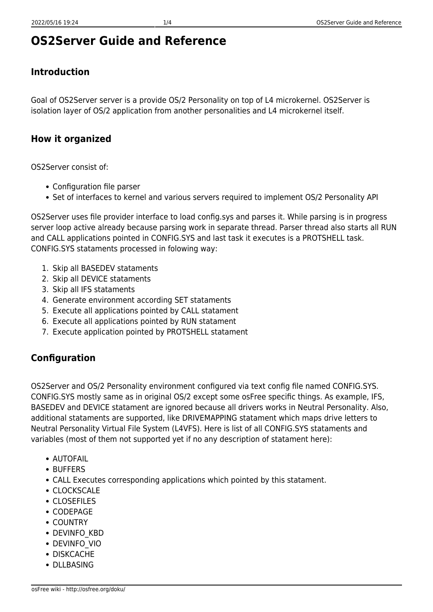# **OS2Server Guide and Reference**

## **Introduction**

Goal of OS2Server server is a provide OS/2 Personality on top of L4 microkernel. OS2Server is isolation layer of OS/2 application from another personalities and L4 microkernel itself.

#### **How it organized**

OS2Server consist of:

- Configuration file parser
- Set of interfaces to kernel and various servers required to implement OS/2 Personality API

OS2Server uses file provider interface to load config.sys and parses it. While parsing is in progress server loop active already because parsing work in separate thread. Parser thread also starts all RUN and CALL applications pointed in CONFIG.SYS and last task it executes is a PROTSHELL task. CONFIG.SYS stataments processed in folowing way:

- 1. Skip all BASEDEV stataments
- 2. Skip all DEVICE stataments
- 3. Skip all IFS stataments
- 4. Generate environment according SET stataments
- 5. Execute all applications pointed by CALL statament
- 6. Execute all applications pointed by RUN statament
- 7. Execute application pointed by PROTSHELL statament

### **Configuration**

OS2Server and OS/2 Personality environment configured via text config file named CONFIG.SYS. CONFIG.SYS mostly same as in original OS/2 except some osFree specific things. As example, IFS, BASEDEV and DEVICE statament are ignored because all drivers works in Neutral Personality. Also, additional stataments are supported, like DRIVEMAPPING statament which maps drive letters to Neutral Personality Virtual File System (L4VFS). Here is list of all CONFIG.SYS stataments and variables (most of them not supported yet if no any description of statament here):

- AUTOFAIL
- BUFFERS
- CALL Executes corresponding applications which pointed by this statament.
- CLOCKSCALE
- CLOSEFILES
- CODEPAGE
- COUNTRY
- DEVINFO\_KBD
- DEVINFO\_VIO
- DISKCACHE
- DLLBASING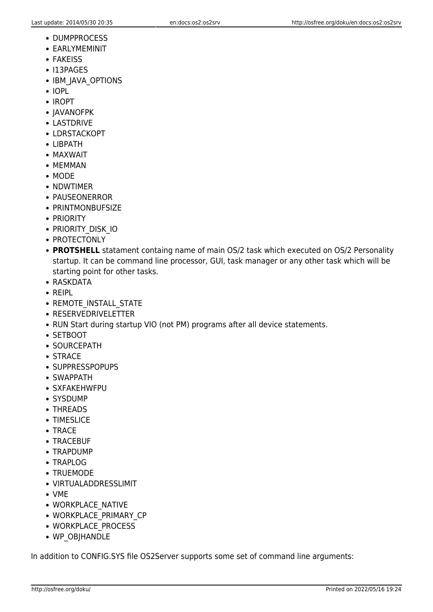- DUMPPROCESS
- EARLYMEMINIT
- **FAKEISS**
- $\cdot$  I13PAGES
- IBM JAVA OPTIONS
- IOPL
- IROPT
- JAVANOFPK
- LASTDRIVE
- LDRSTACKOPT
- LIBPATH
- MAXWAIT
- MFMMAN
- MODE
- NDWTIMER
- PAUSEONERROR
- PRINTMONBUFSIZE
- PRIORITY
- PRIORITY DISK IO
- PROTECTONLY
- **PROTSHELL** statament containg name of main OS/2 task which executed on OS/2 Personality startup. It can be command line processor, GUI, task manager or any other task which will be starting point for other tasks.
- RASKDATA
- REIPL
- REMOTE INSTALL STATE
- RESERVEDRIVELETTER
- RUN Start during startup VIO (not PM) programs after all device statements.
- SETBOOT
- SOURCEPATH
- STRACE
- SUPPRESSPOPUPS
- SWAPPATH
- SXFAKEHWFPU
- SYSDUMP
- THREADS
- TIMESLICE
- TRACE
- TRACEBUF
- TRAPDUMP
- TRAPLOG
- TRUEMODE
- VIRTUALADDRESSLIMIT
- VME
- WORKPLACE NATIVE
- WORKPLACE PRIMARY CP
- WORKPLACE PROCESS
- WP\_OBJHANDLE

In addition to CONFIG.SYS file OS2Server supports some set of command line arguments: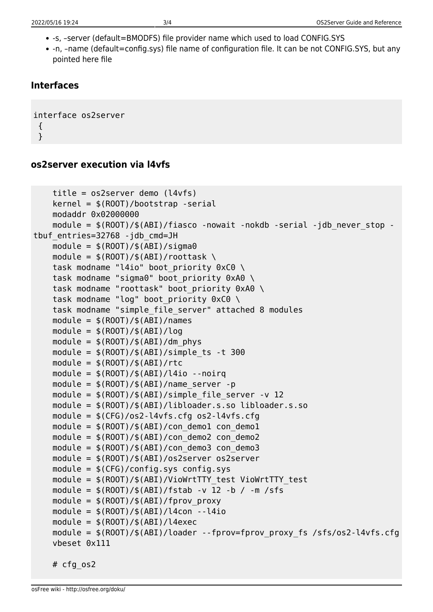- -s, –server (default=BMODFS) file provider name which used to load CONFIG.SYS
- -n, -name (default=config.sys) file name of configuration file. It can be not CONFIG.SYS, but any pointed here file

#### **Interfaces**

```
interface os2server
  {
  }
```
#### **os2server execution via l4vfs**

```
 title = os2server demo (l4vfs)
    \text{kernel} = \frac{1}{2}(\text{ROOT})/\text{bootstrap -serial} modaddr 0x02000000
    module = $(ROOT)/$(ABI)/fiasco -nowait -nokdb -serial -jdb never stop -
tbuf entries=32768 -jdb cmd=JH
    module = $ (ROOT) / $ (ABI) / sigma0module = $ (ROOT)/$ (ABI)/root task \ \task modname "l4io" boot priority 0xC0 \
    task modname "sigma0" boot priority 0xA0 \
    task modname "roottask" boot priority 0xA0 \
    task modname "log" boot priority 0xC0 \
     task modname "simple_file_server" attached 8 modules
    module = $(ROOT)/$(ABI)/namesmodule = $(ROOT)/$(ABI)/logmodule = \frac{1}{2}(ROOT)/\frac{1}{2}(ABI)/dm phys
    module = \frac{1}{2}(ROOT)/\frac{1}{2}(ABI)/simple ts -t 300
    module = $ (ROOT)/$ (ABI)/rtcmodule = $(ROOT)/$(ABI)/14io -<sub>-</sub>noirqmodule = $ (ROOT)/$ (ABI)/name server -pmodule = $ (ROOT)/$ (ABI)/simple file server -v 12 module = $(ROOT)/$(ABI)/libloader.s.so libloader.s.so
    module = $({CFG})/0s2-14vfs.cfg 0s2-14vfs.cfgmodule = $ (ROOT)/$ (ABI)/con demol con demolmodule = $ (ROOT)/$ (ABI)/con demo2 con demo2module = $ (ROOT)/$ (ABI)/con demo3 con demo3 module = $(ROOT)/$(ABI)/os2server os2server
    module = $(CFG)/config(sys module = $(ROOT)/$(ABI)/VioWrtTTY_test VioWrtTTY_test
    module = \frac{s(ROOT)}{s(ABI)}/fstab -v 12 -b / -m /sfs
    module = $ (ROOT)/$ (ABI)/fprov proxymodule = $(ROOT)/$(ABI)/14con -14iomodule = $ (ROOT)/$ (ABI)/l4execmodule = \frac{1}{2}(ROOT)/\frac{1}{2}(ABI)/loader --fprov=fprov proxy fs /sfs/os2-l4vfs.cfg
     vbeset 0x111
     # cfg_os2
```